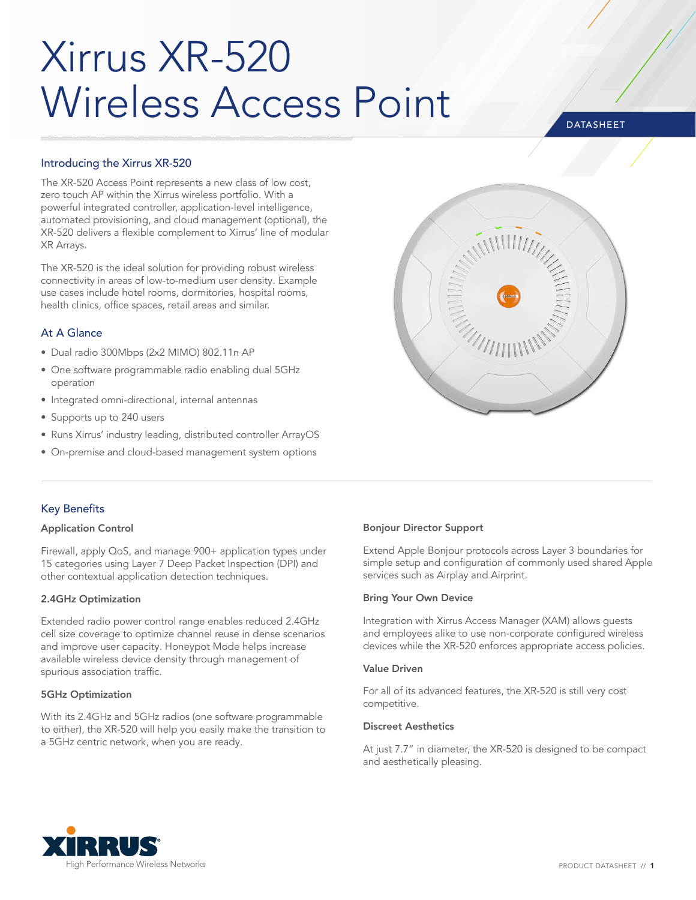# Xirrus XR-520 Wireless Access Point

# **DATASHEET**

# Introducing the Xirrus XR-520

The XR-520 Access Point represents a new class of low cost, zero touch AP within the Xirrus wireless portfolio. With a powerful integrated controller, application-level intelligence, automated provisioning, and cloud management (optional), the XR-520 delivers a flexible complement to Xirrus' line of modular XR Arrays.

The XR-520 is the ideal solution for providing robust wireless connectivity in areas of low-to-medium user density. Example use cases include hotel rooms, dormitories, hospital rooms, health clinics, office spaces, retail areas and similar.

## At A Glance

- Dual radio 300Mbps (2x2 MIMO) 802.11n AP
- One software programmable radio enabling dual 5GHz operation
- Integrated omni-directional, internal antennas
- Supports up to 240 users
- Runs Xirrus' industry leading, distributed controller ArrayOS
- On-premise and cloud-based management system options



# Key Benefits

#### Application Control

Firewall, apply QoS, and manage 900+ application types under 15 categories using Layer 7 Deep Packet Inspection (DPI) and other contextual application detection techniques.

#### 2.4GHz Optimization

Extended radio power control range enables reduced 2.4GHz cell size coverage to optimize channel reuse in dense scenarios and improve user capacity. Honeypot Mode helps increase available wireless device density through management of spurious association traffic.

#### 5GHz Optimization

With its 2.4GHz and 5GHz radios (one software programmable to either), the XR-520 will help you easily make the transition to a 5GHz centric network, when you are ready.

## Bonjour Director Support

Extend Apple Bonjour protocols across Layer 3 boundaries for simple setup and configuration of commonly used shared Apple services such as Airplay and Airprint.

#### Bring Your Own Device

Integration with Xirrus Access Manager (XAM) allows guests and employees alike to use non-corporate configured wireless devices while the XR-520 enforces appropriate access policies.

#### Value Driven

For all of its advanced features, the XR-520 is still very cost competitive.

#### Discreet Aesthetics

At just 7.7" in diameter, the XR-520 is designed to be compact and aesthetically pleasing.

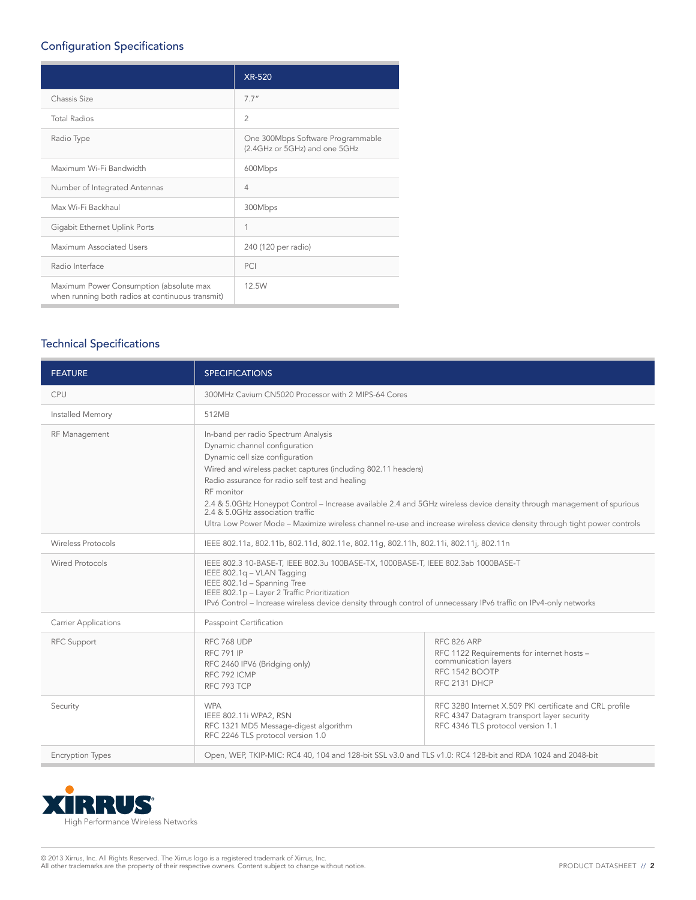# Configuration Specifications

|                                                                                             | <b>XR-520</b>                                                      |
|---------------------------------------------------------------------------------------------|--------------------------------------------------------------------|
| Chassis Size                                                                                | 7.7"                                                               |
| <b>Total Radios</b>                                                                         | $\overline{2}$                                                     |
| Radio Type                                                                                  | One 300Mbps Software Programmable<br>(2.4GHz or 5GHz) and one 5GHz |
| Maximum Wi-Fi Bandwidth                                                                     | 600Mbps                                                            |
| Number of Integrated Antennas                                                               | $\overline{4}$                                                     |
| Max Wi-Fi Backhaul                                                                          | 300Mbps                                                            |
| Gigabit Ethernet Uplink Ports                                                               | 1                                                                  |
| Maximum Associated Users                                                                    | 240 (120 per radio)                                                |
| Radio Interface                                                                             | PCI                                                                |
| Maximum Power Consumption (absolute max<br>when running both radios at continuous transmit) | 12.5W                                                              |

# Technical Specifications

| <b>FEATURE</b>              | <b>SPECIFICATIONS</b>                                                                                                                                                                                                                                                                                                                                                                                                                                                                                                                |                                                                                                                             |  |  |  |
|-----------------------------|--------------------------------------------------------------------------------------------------------------------------------------------------------------------------------------------------------------------------------------------------------------------------------------------------------------------------------------------------------------------------------------------------------------------------------------------------------------------------------------------------------------------------------------|-----------------------------------------------------------------------------------------------------------------------------|--|--|--|
| CPU                         | 300MHz Cavium CN5020 Processor with 2 MIPS-64 Cores                                                                                                                                                                                                                                                                                                                                                                                                                                                                                  |                                                                                                                             |  |  |  |
| Installed Memory            | 512MB                                                                                                                                                                                                                                                                                                                                                                                                                                                                                                                                |                                                                                                                             |  |  |  |
| RF Management               | In-band per radio Spectrum Analysis<br>Dynamic channel configuration<br>Dynamic cell size configuration<br>Wired and wireless packet captures (including 802.11 headers)<br>Radio assurance for radio self test and healing<br>RF monitor<br>2.4 & 5.0GHz Honeypot Control – Increase available 2.4 and 5GHz wireless device density through management of spurious<br>2.4 & 5.0GHz association traffic<br>Ultra Low Power Mode - Maximize wireless channel re-use and increase wireless device density through tight power controls |                                                                                                                             |  |  |  |
| <b>Wireless Protocols</b>   | IEEE 802.11a, 802.11b, 802.11d, 802.11e, 802.11g, 802.11h, 802.11i, 802.11j, 802.11n                                                                                                                                                                                                                                                                                                                                                                                                                                                 |                                                                                                                             |  |  |  |
| Wired Protocols             | IEEE 802.3 10-BASE-T, IEEE 802.3u 100BASE-TX, 1000BASE-T, IEEE 802.3ab 1000BASE-T<br>IEEE 802.1q - VLAN Tagging<br>IEEE 802.1d - Spanning Tree<br>IEEE 802.1p - Layer 2 Traffic Prioritization<br>IPv6 Control – Increase wireless device density through control of unnecessary IPv6 traffic on IPv4-only networks                                                                                                                                                                                                                  |                                                                                                                             |  |  |  |
| <b>Carrier Applications</b> | Passpoint Certification                                                                                                                                                                                                                                                                                                                                                                                                                                                                                                              |                                                                                                                             |  |  |  |
| <b>RFC Support</b>          | <b>RFC 768 UDP</b><br><b>RFC 791 IP</b><br>RFC 2460 IPV6 (Bridging only)<br>RFC 792 ICMP<br>RFC 793 TCP                                                                                                                                                                                                                                                                                                                                                                                                                              | <b>RFC 826 ARP</b><br>RFC 1122 Requirements for internet hosts -<br>communication layers<br>RFC 1542 BOOTP<br>RFC 2131 DHCP |  |  |  |
| Security                    | <b>WPA</b><br>RFC 3280 Internet X.509 PKI certificate and CRL profile<br>RFC 4347 Datagram transport layer security<br>IEEE 802.11i WPA2, RSN<br>RFC 4346 TLS protocol version 1.1<br>RFC 1321 MD5 Message-digest algorithm<br>RFC 2246 TLS protocol version 1.0                                                                                                                                                                                                                                                                     |                                                                                                                             |  |  |  |
| <b>Encryption Types</b>     | Open, WEP, TKIP-MIC: RC4 40, 104 and 128-bit SSL v3.0 and TLS v1.0: RC4 128-bit and RDA 1024 and 2048-bit                                                                                                                                                                                                                                                                                                                                                                                                                            |                                                                                                                             |  |  |  |



© 2013 Xirrus, Inc. All Rights Reserved. The Xirrus logo is a registered trademark of Xirrus, Inc.<br>All other trademarks are the property of their respective owners. Content subject to change without notice.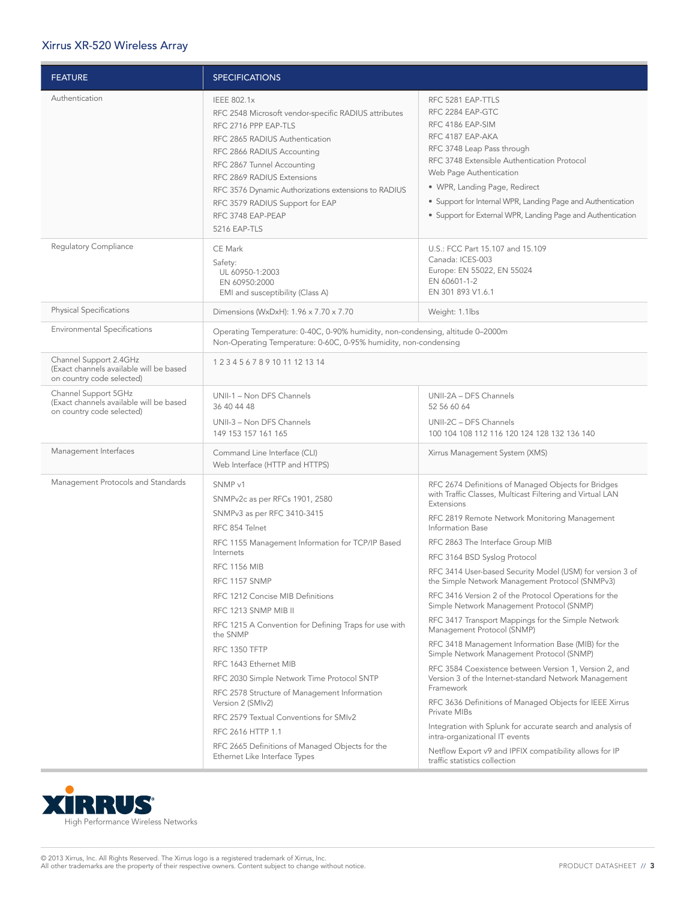# Xirrus XR-520 Wireless Array

| <b>FEATURE</b>                                                                                 | <b>SPECIFICATIONS</b>                                                                                                                                                                                                                                                                                                                                                                                                                                                                                                                                                                                                                                           |                                                                                                                                                                                                                                                                                                                                                                                                                                                                                                                                                                                                                                                                                                                                                                                                                                                                                                                                                                                                                                                                                              |  |  |  |  |
|------------------------------------------------------------------------------------------------|-----------------------------------------------------------------------------------------------------------------------------------------------------------------------------------------------------------------------------------------------------------------------------------------------------------------------------------------------------------------------------------------------------------------------------------------------------------------------------------------------------------------------------------------------------------------------------------------------------------------------------------------------------------------|----------------------------------------------------------------------------------------------------------------------------------------------------------------------------------------------------------------------------------------------------------------------------------------------------------------------------------------------------------------------------------------------------------------------------------------------------------------------------------------------------------------------------------------------------------------------------------------------------------------------------------------------------------------------------------------------------------------------------------------------------------------------------------------------------------------------------------------------------------------------------------------------------------------------------------------------------------------------------------------------------------------------------------------------------------------------------------------------|--|--|--|--|
| Authentication                                                                                 | IEEE 802.1x<br>RFC 2548 Microsoft vendor-specific RADIUS attributes<br>RFC 2716 PPP EAP-TLS<br>RFC 2865 RADIUS Authentication<br>RFC 2866 RADIUS Accounting<br>RFC 2867 Tunnel Accounting<br>RFC 2869 RADIUS Extensions<br>RFC 3576 Dynamic Authorizations extensions to RADIUS<br>RFC 3579 RADIUS Support for EAP<br>RFC 3748 EAP-PEAP<br>5216 EAP-TLS                                                                                                                                                                                                                                                                                                         | RFC 5281 EAP-TTLS<br>RFC 2284 EAP-GTC<br>RFC 4186 EAP-SIM<br>RFC 4187 EAP-AKA<br>RFC 3748 Leap Pass through<br>RFC 3748 Extensible Authentication Protocol<br>Web Page Authentication<br>• WPR, Landing Page, Redirect<br>• Support for Internal WPR, Landing Page and Authentication<br>• Support for External WPR, Landing Page and Authentication                                                                                                                                                                                                                                                                                                                                                                                                                                                                                                                                                                                                                                                                                                                                         |  |  |  |  |
| Regulatory Compliance                                                                          | CE Mark<br>Safety:<br>UL 60950-1:2003<br>EN 60950:2000<br>EMI and susceptibility (Class A)                                                                                                                                                                                                                                                                                                                                                                                                                                                                                                                                                                      | U.S.: FCC Part 15.107 and 15.109<br>Canada: ICES-003<br>Europe: EN 55022, EN 55024<br>EN 60601-1-2<br>EN 301 893 V1.6.1                                                                                                                                                                                                                                                                                                                                                                                                                                                                                                                                                                                                                                                                                                                                                                                                                                                                                                                                                                      |  |  |  |  |
| <b>Physical Specifications</b>                                                                 | Dimensions (WxDxH): 1.96 x 7.70 x 7.70<br>Weight: 1.1lbs                                                                                                                                                                                                                                                                                                                                                                                                                                                                                                                                                                                                        |                                                                                                                                                                                                                                                                                                                                                                                                                                                                                                                                                                                                                                                                                                                                                                                                                                                                                                                                                                                                                                                                                              |  |  |  |  |
| <b>Environmental Specifications</b>                                                            | Operating Temperature: 0-40C, 0-90% humidity, non-condensing, altitude 0-2000m<br>Non-Operating Temperature: 0-60C, 0-95% humidity, non-condensing                                                                                                                                                                                                                                                                                                                                                                                                                                                                                                              |                                                                                                                                                                                                                                                                                                                                                                                                                                                                                                                                                                                                                                                                                                                                                                                                                                                                                                                                                                                                                                                                                              |  |  |  |  |
| Channel Support 2.4GHz<br>(Exact channels available will be based<br>on country code selected) | 1 2 3 4 5 6 7 8 9 10 11 12 13 14                                                                                                                                                                                                                                                                                                                                                                                                                                                                                                                                                                                                                                |                                                                                                                                                                                                                                                                                                                                                                                                                                                                                                                                                                                                                                                                                                                                                                                                                                                                                                                                                                                                                                                                                              |  |  |  |  |
| Channel Support 5GHz<br>(Exact channels available will be based<br>on country code selected)   | UNII-1 - Non DFS Channels<br>36 40 44 48<br>UNII-3 - Non DFS Channels<br>149 153 157 161 165                                                                                                                                                                                                                                                                                                                                                                                                                                                                                                                                                                    | UNII-2A - DFS Channels<br>52 56 60 64<br>UNII-2C - DFS Channels<br>100 104 108 112 116 120 124 128 132 136 140                                                                                                                                                                                                                                                                                                                                                                                                                                                                                                                                                                                                                                                                                                                                                                                                                                                                                                                                                                               |  |  |  |  |
| Management Interfaces                                                                          | Command Line Interface (CLI)<br>Web Interface (HTTP and HTTPS)                                                                                                                                                                                                                                                                                                                                                                                                                                                                                                                                                                                                  | Xirrus Management System (XMS)                                                                                                                                                                                                                                                                                                                                                                                                                                                                                                                                                                                                                                                                                                                                                                                                                                                                                                                                                                                                                                                               |  |  |  |  |
| Management Protocols and Standards                                                             | SNMP <sub>v1</sub><br>SNMPv2c as per RFCs 1901, 2580<br>SNMPv3 as per RFC 3410-3415<br>RFC 854 Telnet<br>RFC 1155 Management Information for TCP/IP Based<br>Internets<br><b>RFC 1156 MIB</b><br>RFC 1157 SNMP<br>RFC 1212 Concise MIB Definitions<br>RFC 1213 SNMP MIB II<br>RFC 1215 A Convention for Defining Traps for use with<br>the SNMP<br>RFC 1350 TFTP<br>RFC 1643 Ethernet MIB<br>RFC 2030 Simple Network Time Protocol SNTP<br>RFC 2578 Structure of Management Information<br>Version 2 (SMIv2)<br>RFC 2579 Textual Conventions for SMIv2<br>RFC 2616 HTTP 1.1<br>RFC 2665 Definitions of Managed Objects for the<br>Ethernet Like Interface Types | RFC 2674 Definitions of Managed Objects for Bridges<br>with Traffic Classes, Multicast Filtering and Virtual LAN<br>Extensions<br>RFC 2819 Remote Network Monitoring Management<br>Information Base<br>RFC 2863 The Interface Group MIB<br>RFC 3164 BSD Syslog Protocol<br>RFC 3414 User-based Security Model (USM) for version 3 of<br>the Simple Network Management Protocol (SNMPv3)<br>RFC 3416 Version 2 of the Protocol Operations for the<br>Simple Network Management Protocol (SNMP)<br>RFC 3417 Transport Mappings for the Simple Network<br>Management Protocol (SNMP)<br>RFC 3418 Management Information Base (MIB) for the<br>Simple Network Management Protocol (SNMP)<br>RFC 3584 Coexistence between Version 1, Version 2, and<br>Version 3 of the Internet-standard Network Management<br>Framework<br>RFC 3636 Definitions of Managed Objects for IEEE Xirrus<br>Private MIBs<br>Integration with Splunk for accurate search and analysis of<br>intra-organizational IT events<br>Netflow Export v9 and IPFIX compatibility allows for IP<br>traffic statistics collection |  |  |  |  |